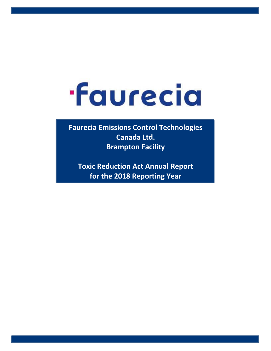## **faurecia**

**Faurecia Emissions Control Technologies Canada Ltd. Brampton Facility**

**Toxic Reduction Act Annual Report for the 2018 Reporting Year**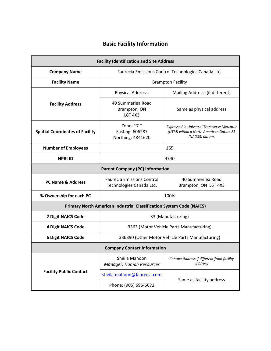## **Basic Facility Information**

| <b>Facility Identification and Site Address</b>                             |                                                               |                                                                                                               |  |  |  |  |  |  |  |  |  |  |  |
|-----------------------------------------------------------------------------|---------------------------------------------------------------|---------------------------------------------------------------------------------------------------------------|--|--|--|--|--|--|--|--|--|--|--|
| <b>Company Name</b>                                                         | Faurecia Emissions Control Technologies Canada Ltd.           |                                                                                                               |  |  |  |  |  |  |  |  |  |  |  |
| <b>Facility Name</b>                                                        | <b>Brampton Facility</b>                                      |                                                                                                               |  |  |  |  |  |  |  |  |  |  |  |
|                                                                             | <b>Physical Address:</b>                                      | Mailing Address: (if different)                                                                               |  |  |  |  |  |  |  |  |  |  |  |
| <b>Facility Address</b>                                                     | 40 Summerlea Road<br>Brampton, ON<br>L6T 4X3                  | Same as physical address                                                                                      |  |  |  |  |  |  |  |  |  |  |  |
| <b>Spatial Coordinates of Facility</b>                                      | Zone: 17 T<br>Easting: 606287<br>Northing: 4841620            | <b>Expressed in Universal Transverse Mercator</b><br>(UTM) within a North American Datum 83<br>(NAD83) datum. |  |  |  |  |  |  |  |  |  |  |  |
| <b>Number of Employees</b><br>165                                           |                                                               |                                                                                                               |  |  |  |  |  |  |  |  |  |  |  |
| <b>NPRI ID</b><br>4740                                                      |                                                               |                                                                                                               |  |  |  |  |  |  |  |  |  |  |  |
| <b>Parent Company (PC) Information</b>                                      |                                                               |                                                                                                               |  |  |  |  |  |  |  |  |  |  |  |
| <b>PC Name &amp; Address</b>                                                | <b>Faurecia Emissions Control</b><br>Technologies Canada Ltd. | 40 Summerlea Road<br>Brampton, ON L6T 4X3                                                                     |  |  |  |  |  |  |  |  |  |  |  |
| % Ownership for each PC                                                     | 100%                                                          |                                                                                                               |  |  |  |  |  |  |  |  |  |  |  |
| <b>Primary North American Industrial Classification System Code (NAICS)</b> |                                                               |                                                                                                               |  |  |  |  |  |  |  |  |  |  |  |
| <b>2 Digit NAICS Code</b><br>33 (Manufacturing)                             |                                                               |                                                                                                               |  |  |  |  |  |  |  |  |  |  |  |
| <b>4 Digit NAICS Code</b>                                                   | 3363 (Motor Vehicle Parts Manufacturing)                      |                                                                                                               |  |  |  |  |  |  |  |  |  |  |  |
| <b>6 Digit NAICS Code</b>                                                   | 336390 (Other Motor Vehicle Parts Manufacturing)              |                                                                                                               |  |  |  |  |  |  |  |  |  |  |  |
|                                                                             | <b>Company Contact Information</b>                            |                                                                                                               |  |  |  |  |  |  |  |  |  |  |  |
|                                                                             | Sheila Mahoon<br>Manager, Human Resources                     | Contact Address if different from facility<br>address                                                         |  |  |  |  |  |  |  |  |  |  |  |
| <b>Facility Public Contact</b>                                              | sheila.mahoon@faurecia.com                                    |                                                                                                               |  |  |  |  |  |  |  |  |  |  |  |
|                                                                             | Phone: (905) 595-5672                                         | Same as facility address                                                                                      |  |  |  |  |  |  |  |  |  |  |  |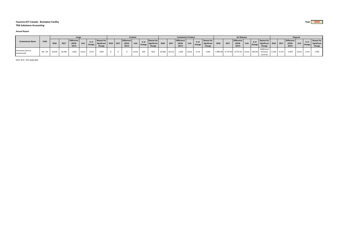## **Faurecia ECT Canada ‐ Brampton Facility Year 2018 TRA Substance Accounting**

## **Annual Report**

| <b>Contaminant Name</b>         | CAS#    | <b>Usage</b> |        |                                  |       |         |                                                      | <b>Creation</b> |  |                                         |       |                       | <b>Contained In Product</b>                |        |                                                  |                                         |       |                     | <b>Air Releases</b>                        |          |      |                                         |      |           | <b>Disposal</b>                                 |             |      |                                         |       |         |                                            |
|---------------------------------|---------|--------------|--------|----------------------------------|-------|---------|------------------------------------------------------|-----------------|--|-----------------------------------------|-------|-----------------------|--------------------------------------------|--------|--------------------------------------------------|-----------------------------------------|-------|---------------------|--------------------------------------------|----------|------|-----------------------------------------|------|-----------|-------------------------------------------------|-------------|------|-----------------------------------------|-------|---------|--------------------------------------------|
|                                 |         | 2018         | 2017   | Difference<br>$(2018 -$<br>2017) | Unit  | Change  | <b>Reason for</b><br>Significant 2018 2017<br>Change |                 |  | <b>Difference</b><br>$(2018 -$<br>2017) |       | $%$ of<br>Unit Change | <b>Reason for</b><br>Significant<br>Change | 2018   | $\begin{array}{c} \n \text{2017} \\ \end{array}$ | <b>Difference</b><br>$(2018 -$<br>2017) | Unit  | <sup>I</sup> Change | <b>Reason for</b><br>Significant<br>Change | 2018     | 2017 | <b>Difference</b><br>$(2018 -$<br>2017) | Unit |           | <b>Reason for</b><br>Significant 2018<br>Change |             | 2017 | <b>Difference</b><br>$(2018 -$<br>2017) | Unit  |         | <b>Reason for</b><br>Significant<br>Change |
| Chromium (and its<br>compounds) | NA - 04 | 16.634       | 18.296 | $-1.661$                         | tonne | $-9.1%$ | < 10%                                                |                 |  |                                         | tonne | N/A                   | N/A                                        | 16.468 | 18.113                                           | $-1.645$                                | tonne | $-9.1%$             | < 10%                                      | 3.99E-06 |      | 8.77E-03 -8.77E-03 tonne                |      | $-100.0%$ | Additional<br>Emission<br>Controls              | 0.166 0.174 |      | $-0.007$                                | tonne | $-4.3%$ | $<$ 10%                                    |

Note: N/A <sup>=</sup> Not Applicable